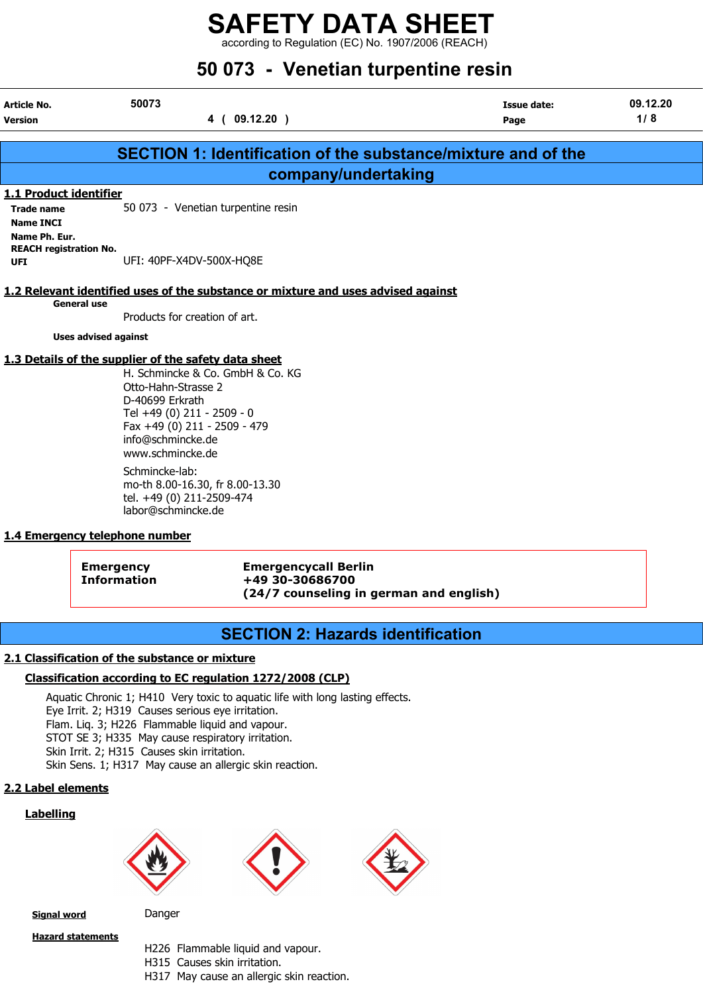according to Regulation (EC) No. 1907/2006 (REACH)

| 50 073 - Venetian turpentine resin                                                                                                                                                                                                                                                        |                                                                                                                                                                             |                                                                                                                                                                                  |  |  |
|-------------------------------------------------------------------------------------------------------------------------------------------------------------------------------------------------------------------------------------------------------------------------------------------|-----------------------------------------------------------------------------------------------------------------------------------------------------------------------------|----------------------------------------------------------------------------------------------------------------------------------------------------------------------------------|--|--|
| 50073<br>4 ( 09.12.20 )                                                                                                                                                                                                                                                                   | Issue date:<br>Page                                                                                                                                                         | 09.12.20<br>1/8                                                                                                                                                                  |  |  |
|                                                                                                                                                                                                                                                                                           |                                                                                                                                                                             |                                                                                                                                                                                  |  |  |
|                                                                                                                                                                                                                                                                                           |                                                                                                                                                                             |                                                                                                                                                                                  |  |  |
| 50 073 - Venetian turpentine resin                                                                                                                                                                                                                                                        |                                                                                                                                                                             |                                                                                                                                                                                  |  |  |
| UFI: 40PF-X4DV-500X-HQ8E                                                                                                                                                                                                                                                                  |                                                                                                                                                                             |                                                                                                                                                                                  |  |  |
|                                                                                                                                                                                                                                                                                           |                                                                                                                                                                             |                                                                                                                                                                                  |  |  |
| Products for creation of art.                                                                                                                                                                                                                                                             |                                                                                                                                                                             |                                                                                                                                                                                  |  |  |
|                                                                                                                                                                                                                                                                                           |                                                                                                                                                                             |                                                                                                                                                                                  |  |  |
| H. Schmincke & Co. GmbH & Co. KG<br>Otto-Hahn-Strasse 2<br>D-40699 Erkrath<br>Tel +49 (0) 211 - 2509 - 0<br>Fax +49 (0) 211 - 2509 - 479<br>info@schmincke.de<br>www.schmincke.de<br>Schmincke-lab:<br>mo-th 8.00-16.30, fr 8.00-13.30<br>tel. +49 (0) 211-2509-474<br>labor@schmincke.de |                                                                                                                                                                             |                                                                                                                                                                                  |  |  |
|                                                                                                                                                                                                                                                                                           | 1.1 Product identifier<br><b>REACH registration No.</b><br><b>Uses advised against</b><br>1.3 Details of the supplier of the safety data sheet<br>sayaanay talankana numbay | <b>SECTION 1: Identification of the substance/mixture and of the</b><br>company/undertaking<br>1.2 Relevant identified uses of the substance or mixture and uses advised against |  |  |

#### 1.4 Emergency telephone number

Emergency Emergencycall Berlin Information +49 30-30686700 (24/7 counseling in german and english)

#### SECTION 2: Hazards identification

#### 2.1 Classification of the substance or mixture

#### Classification according to EC regulation 1272/2008 (CLP)

Aquatic Chronic 1; H410 Very toxic to aquatic life with long lasting effects. Eye Irrit. 2; H319 Causes serious eye irritation. Flam. Liq. 3; H226 Flammable liquid and vapour. STOT SE 3; H335 May cause respiratory irritation. Skin Irrit. 2; H315 Causes skin irritation. Skin Sens. 1; H317 May cause an allergic skin reaction.

#### 2.2 Label elements

#### **Labelling**







Signal word Danger

Hazard statements

- H226 Flammable liquid and vapour.
- H315 Causes skin irritation.
- H317 May cause an allergic skin reaction.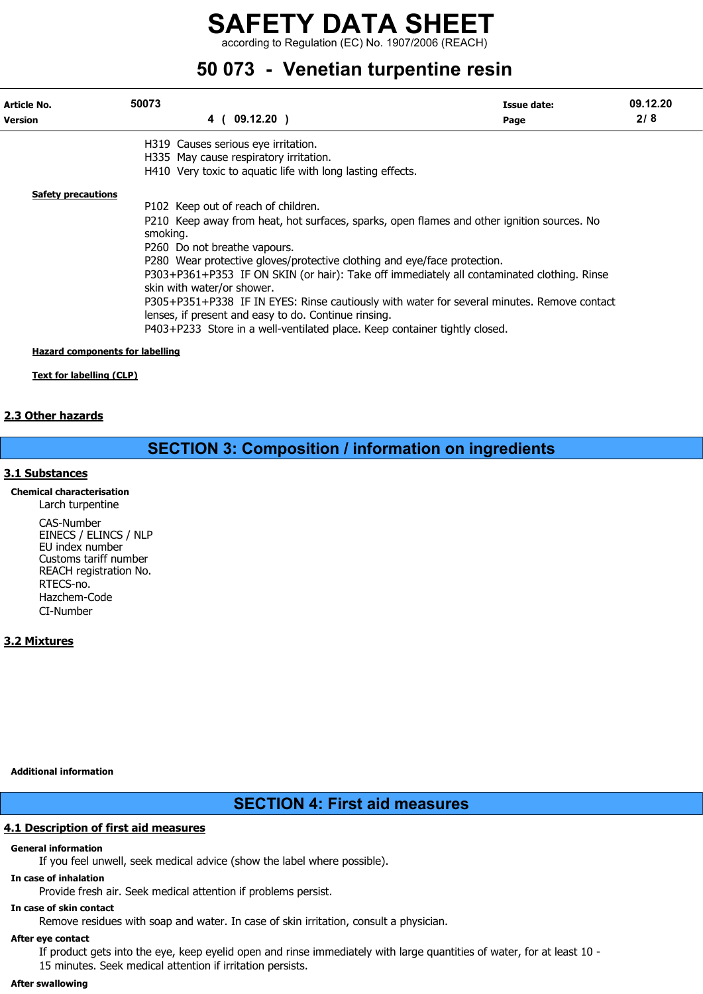according to Regulation (EC) No. 1907/2006 (REACH)

## 50 073 - Venetian turpentine resin

| Article No.<br><b>Version</b>   | 50073                                                                  | 4 ( 09.12.20 )                                                                                                                                                                                                                                                                                                                                                                                                                                                                                                                                  | Issue date:<br>Page | 09.12.20<br>2/8 |
|---------------------------------|------------------------------------------------------------------------|-------------------------------------------------------------------------------------------------------------------------------------------------------------------------------------------------------------------------------------------------------------------------------------------------------------------------------------------------------------------------------------------------------------------------------------------------------------------------------------------------------------------------------------------------|---------------------|-----------------|
|                                 |                                                                        | H319 Causes serious eye irritation.<br>H335 May cause respiratory irritation.                                                                                                                                                                                                                                                                                                                                                                                                                                                                   |                     |                 |
|                                 |                                                                        | H410 Very toxic to aquatic life with long lasting effects.                                                                                                                                                                                                                                                                                                                                                                                                                                                                                      |                     |                 |
| <b>Safety precautions</b>       | smoking.<br>P260 Do not breathe vapours.<br>skin with water/or shower. | P102 Keep out of reach of children.<br>P210 Keep away from heat, hot surfaces, sparks, open flames and other ignition sources. No<br>P280 Wear protective gloves/protective clothing and eye/face protection.<br>P303+P361+P353 IF ON SKIN (or hair): Take off immediately all contaminated clothing. Rinse<br>P305+P351+P338 IF IN EYES: Rinse cautiously with water for several minutes. Remove contact<br>lenses, if present and easy to do. Continue rinsing.<br>P403+P233 Store in a well-ventilated place. Keep container tightly closed. |                     |                 |
| Hazard components for labelling |                                                                        |                                                                                                                                                                                                                                                                                                                                                                                                                                                                                                                                                 |                     |                 |

Text for labelling (CLP)

#### 2.3 Other hazards

### SECTION 3: Composition / information on ingredients

#### 3.1 Substances

Chemical characterisation Larch turpentine CAS-Number EINECS / ELINCS / NLP EU index number Customs tariff number REACH registration No. RTECS-no. Hazchem-Code CI-Number

#### 3.2 Mixtures

Additional information

#### SECTION 4: First aid measures

#### 4.1 Description of first aid measures

#### General information

If you feel unwell, seek medical advice (show the label where possible).

#### In case of inhalation

Provide fresh air. Seek medical attention if problems persist.

### In case of skin contact

Remove residues with soap and water. In case of skin irritation, consult a physician.

#### After eye contact

If product gets into the eye, keep eyelid open and rinse immediately with large quantities of water, for at least 10 - 15 minutes. Seek medical attention if irritation persists.

#### After swallowing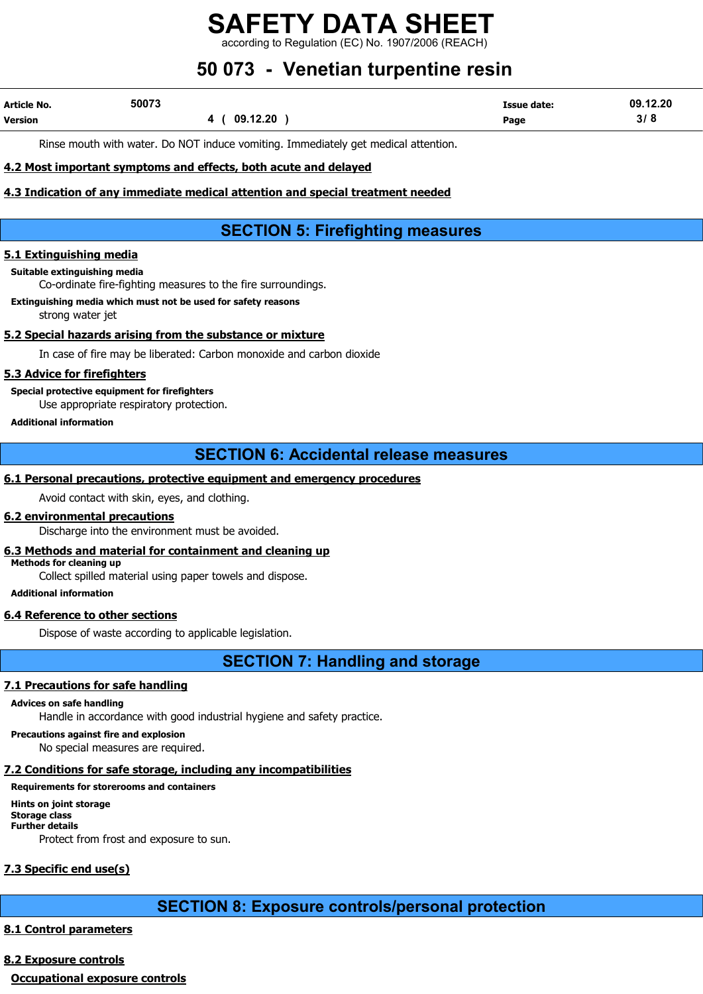rding to Regulation (EC) No. 1907/2006 (REACH)

## 50 073 - Venetian turpentine resin

| <b>Article No.</b> | 50073 |              | Issue date: | 09.12.20 |
|--------------------|-------|--------------|-------------|----------|
| Version            |       | .12.20<br>na | Page        | ט וט     |

Rinse mouth with water. Do NOT induce vomiting. Immediately get medical attention.

#### 4.2 Most important symptoms and effects, both acute and delayed

#### 4.3 Indication of any immediate medical attention and special treatment needed

## SECTION 5: Firefighting measures

#### 5.1 Extinguishing media

#### Suitable extinguishing media

Co-ordinate fire-fighting measures to the fire surroundings.

#### Extinguishing media which must not be used for safety reasons strong water jet

#### 5.2 Special hazards arising from the substance or mixture

In case of fire may be liberated: Carbon monoxide and carbon dioxide

#### 5.3 Advice for firefighters

Special protective equipment for firefighters Use appropriate respiratory protection.

#### Additional information

### SECTION 6: Accidental release measures

#### 6.1 Personal precautions, protective equipment and emergency procedures

Avoid contact with skin, eyes, and clothing.

#### 6.2 environmental precautions

Discharge into the environment must be avoided.

#### 6.3 Methods and material for containment and cleaning up

Methods for cleaning up

Collect spilled material using paper towels and dispose.

#### Additional information

#### 6.4 Reference to other sections

Dispose of waste according to applicable legislation.

SECTION 7: Handling and storage

#### 7.1 Precautions for safe handling

#### Advices on safe handling

Handle in accordance with good industrial hygiene and safety practice.

Precautions against fire and explosion

No special measures are required.

### 7.2 Conditions for safe storage, including any incompatibilities

### Requirements for storerooms and containers

Hints on joint storage Storage class Further details Protect from frost and exposure to sun.

## 7.3 Specific end use(s)

## SECTION 8: Exposure controls/personal protection

### 8.1 Control parameters

### 8.2 Exposure controls

Occupational exposure controls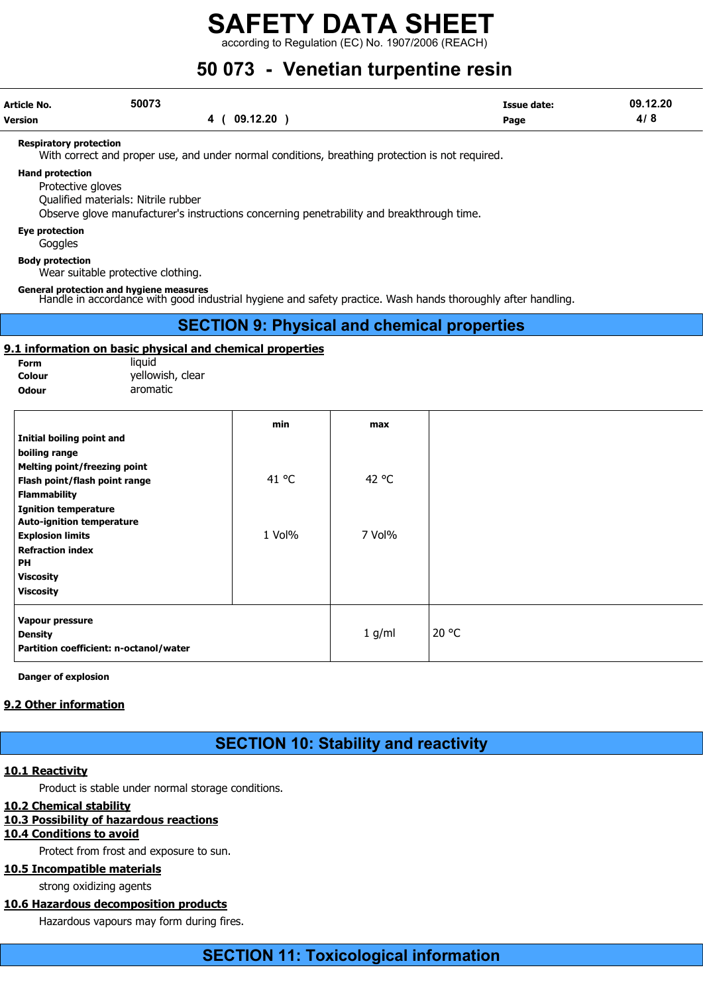according to Regulation (EC) No. 1907/2006 (REACH)

## 50 073 - Venetian turpentine resin

| Article No.    | 50073 |                | <b>Issue date:</b> | 09.12.20 |
|----------------|-------|----------------|--------------------|----------|
| <b>Version</b> |       | 09.12.20<br>40 | Page               | 4/8      |

#### Respiratory protection

With correct and proper use, and under normal conditions, breathing protection is not required.

#### Hand protection

Protective gloves

Qualified materials: Nitrile rubber

Observe glove manufacturer's instructions concerning penetrability and breakthrough time.

#### Eye protection

Goggles

Body protection

Wear suitable protective clothing.

General protection and hygiene measures Handle in accordance with good industrial hygiene and safety practice. Wash hands thoroughly after handling.

SECTION 9: Physical and chemical properties

#### 9.1 information on basic physical and chemical properties

| <b>Form</b>  | liauid           |
|--------------|------------------|
| Colour       | yellowish, clear |
| <b>Odour</b> | aromatic         |

|                                        | min    | max    |
|----------------------------------------|--------|--------|
| Initial boiling point and              |        |        |
| boiling range                          |        |        |
| <b>Melting point/freezing point</b>    |        |        |
| Flash point/flash point range          | 41 °C  | 42 °C  |
| <b>Flammability</b>                    |        |        |
| <b>Ignition temperature</b>            |        |        |
| <b>Auto-ignition temperature</b>       |        |        |
| <b>Explosion limits</b>                | 1 Vol% | 7 Vol% |
| <b>Refraction index</b>                |        |        |
| PH                                     |        |        |
| <b>Viscosity</b>                       |        |        |
| <b>Viscosity</b>                       |        |        |
| Vapour pressure                        |        |        |
| <b>Density</b>                         |        | 1 g/ml |
| Partition coefficient: n-octanol/water |        |        |

Danger of explosion

#### 9.2 Other information

SECTION 10: Stability and reactivity

#### 10.1 Reactivity

Product is stable under normal storage conditions.

#### 10.2 Chemical stability

#### 10.3 Possibility of hazardous reactions

#### 10.4 Conditions to avoid

Protect from frost and exposure to sun.

#### 10.5 Incompatible materials

strong oxidizing agents

#### 10.6 Hazardous decomposition products

Hazardous vapours may form during fires.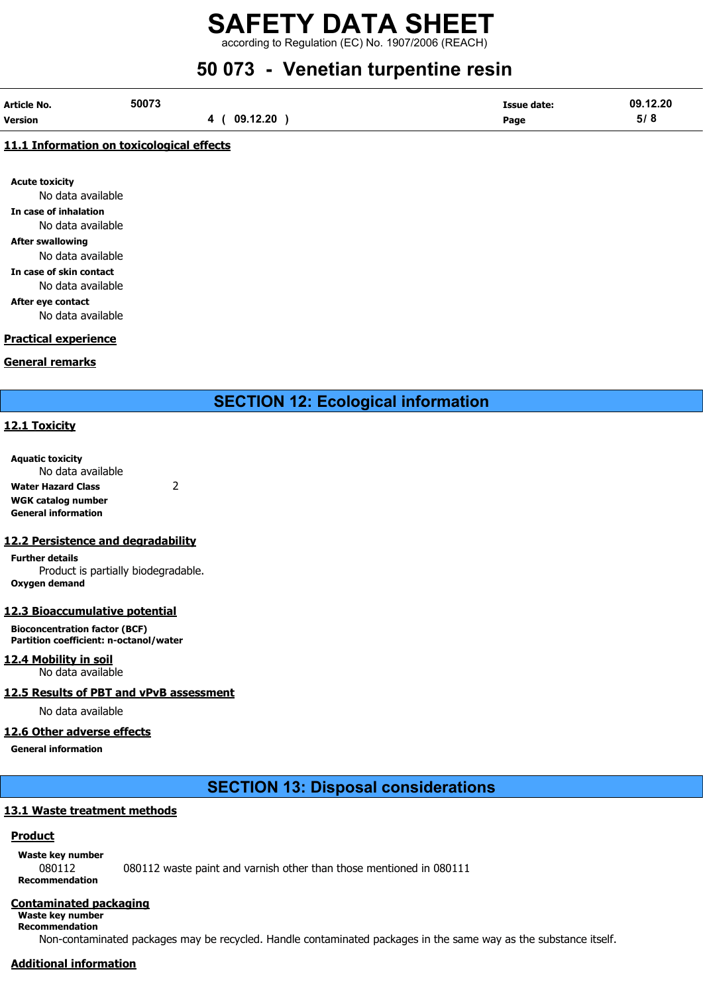according to Regulation (EC) No. 1907/2006 (REACH)

## 50 073 - Venetian turpentine resin

| <b>Article No.</b> | 50073    | Issue date: | 09.12.20 |
|--------------------|----------|-------------|----------|
| Version            | 09.12.20 | Page        | 5/8      |

#### 11.1 Information on toxicological effects

Acute toxicity No data available In case of inhalation No data available After swallowing No data available

In case of skin contact No data available

After eye contact

No data available

#### Practical experience

#### General remarks

SECTION 12: Ecological information

#### 12.1 Toxicity

Aquatic toxicity No data available Water Hazard Class 2

WGK catalog number General information

#### 12.2 Persistence and degradability

Further details Product is partially biodegradable. Oxygen demand

#### 12.3 Bioaccumulative potential

Bioconcentration factor (BCF) Partition coefficient: n-octanol/water

12.4 Mobility in soil No data available

#### 12.5 Results of PBT and vPvB assessment

No data available

#### 12.6 Other adverse effects

General information

SECTION 13: Disposal considerations

#### 13.1 Waste treatment methods

#### Product

Waste key number 080112 080112 waste paint and varnish other than those mentioned in 080111 Recommendation

#### Contaminated packaging

Waste key number Recommendation

Non-contaminated packages may be recycled. Handle contaminated packages in the same way as the substance itself.

#### Additional information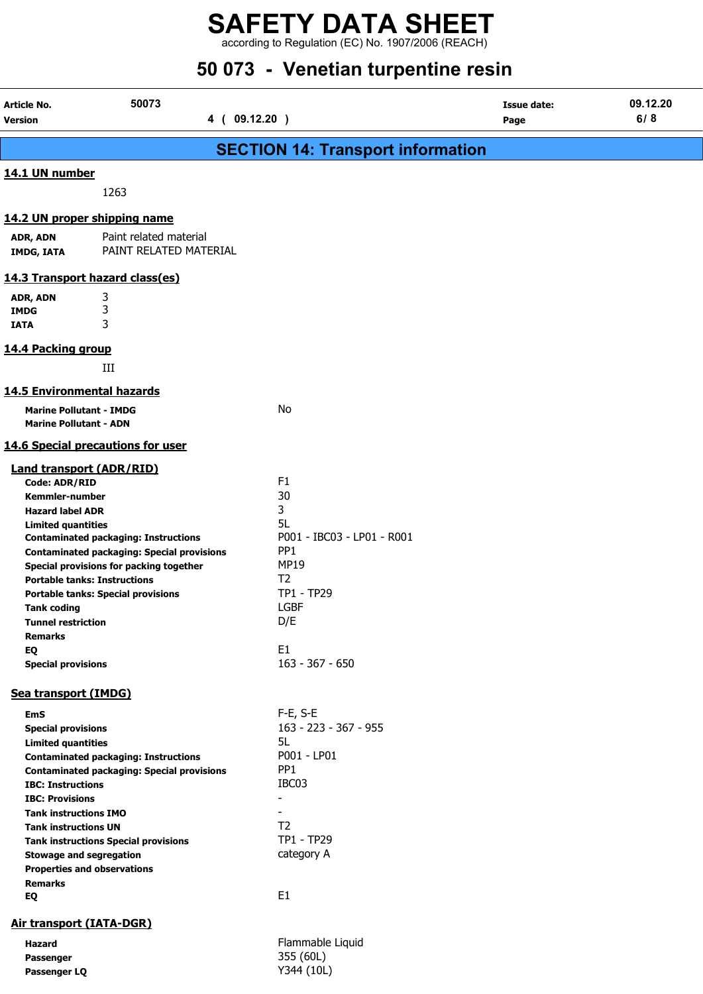according to Regulation (EC) No. 1907/2006 (REACH)

## 50 073 - Venetian turpentine resin

| <b>Article No.</b><br><b>Version</b>                                                                                                                                                                                                                | 50073<br>4 ( 09.12.20 )                                                                                                                                                                                                         |                                                                                                                                                                      | <b>Issue date:</b><br>Page | 09.12.20<br>6/8 |  |  |
|-----------------------------------------------------------------------------------------------------------------------------------------------------------------------------------------------------------------------------------------------------|---------------------------------------------------------------------------------------------------------------------------------------------------------------------------------------------------------------------------------|----------------------------------------------------------------------------------------------------------------------------------------------------------------------|----------------------------|-----------------|--|--|
|                                                                                                                                                                                                                                                     | <b>SECTION 14: Transport information</b>                                                                                                                                                                                        |                                                                                                                                                                      |                            |                 |  |  |
| 14.1 UN number                                                                                                                                                                                                                                      | 1263                                                                                                                                                                                                                            |                                                                                                                                                                      |                            |                 |  |  |
| ADR, ADN<br><b>IMDG, IATA</b>                                                                                                                                                                                                                       | 14.2 UN proper shipping name<br>Paint related material<br>PAINT RELATED MATERIAL                                                                                                                                                |                                                                                                                                                                      |                            |                 |  |  |
|                                                                                                                                                                                                                                                     | 14.3 Transport hazard class(es)                                                                                                                                                                                                 |                                                                                                                                                                      |                            |                 |  |  |
| ADR, ADN<br><b>IMDG</b><br><b>IATA</b>                                                                                                                                                                                                              | 3<br>3<br>3                                                                                                                                                                                                                     |                                                                                                                                                                      |                            |                 |  |  |
| 14.4 Packing group                                                                                                                                                                                                                                  | III                                                                                                                                                                                                                             |                                                                                                                                                                      |                            |                 |  |  |
| <b>14.5 Environmental hazards</b>                                                                                                                                                                                                                   |                                                                                                                                                                                                                                 |                                                                                                                                                                      |                            |                 |  |  |
| <b>Marine Pollutant - IMDG</b><br><b>Marine Pollutant - ADN</b>                                                                                                                                                                                     |                                                                                                                                                                                                                                 | No                                                                                                                                                                   |                            |                 |  |  |
|                                                                                                                                                                                                                                                     | 14.6 Special precautions for user                                                                                                                                                                                               |                                                                                                                                                                      |                            |                 |  |  |
| <b>Land transport (ADR/RID)</b><br>Code: ADR/RID<br><b>Kemmler-number</b><br><b>Hazard label ADR</b><br><b>Limited quantities</b><br><b>Tank coding</b><br><b>Tunnel restriction</b><br>Remarks<br>EQ<br><b>Special provisions</b>                  | <b>Contaminated packaging: Instructions</b><br><b>Contaminated packaging: Special provisions</b><br>Special provisions for packing together<br><b>Portable tanks: Instructions</b><br><b>Portable tanks: Special provisions</b> | F1<br>30<br>3<br>5L<br>P001 - IBC03 - LP01 - R001<br>PP <sub>1</sub><br><b>MP19</b><br>T <sub>2</sub><br>TP1 - TP29<br><b>LGBF</b><br>D/E<br>E1<br>163 - 367 - 650   |                            |                 |  |  |
| Sea transport (IMDG)                                                                                                                                                                                                                                |                                                                                                                                                                                                                                 |                                                                                                                                                                      |                            |                 |  |  |
| <b>EmS</b><br><b>Special provisions</b><br><b>Limited quantities</b><br><b>IBC: Instructions</b><br><b>IBC: Provisions</b><br><b>Tank instructions IMO</b><br><b>Tank instructions UN</b><br><b>Stowage and segregation</b><br><b>Remarks</b><br>EQ | <b>Contaminated packaging: Instructions</b><br><b>Contaminated packaging: Special provisions</b><br><b>Tank instructions Special provisions</b><br><b>Properties and observations</b>                                           | F-E, S-E<br>163 - 223 - 367 - 955<br>5L<br>P001 - LP01<br>PP <sub>1</sub><br>IBC03<br>$\blacksquare$<br>T <sub>2</sub><br>TP1 - TP29<br>category A<br>E <sub>1</sub> |                            |                 |  |  |
| <b>Air transport (IATA-DGR)</b>                                                                                                                                                                                                                     |                                                                                                                                                                                                                                 |                                                                                                                                                                      |                            |                 |  |  |
| Hazard<br>Passenger<br>Passenger LQ                                                                                                                                                                                                                 |                                                                                                                                                                                                                                 | Flammable Liquid<br>355 (60L)<br>Y344 (10L)                                                                                                                          |                            |                 |  |  |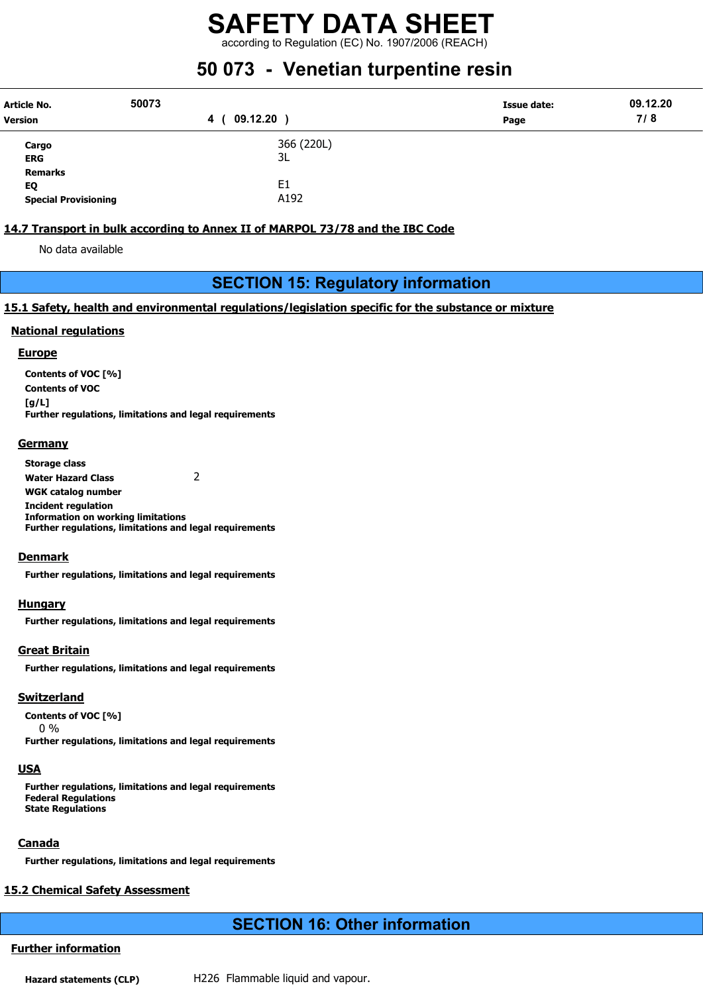according to Regulation (EC) No. 1907/2006 (REACH)

## 50 073 - Venetian turpentine resin

| <b>Article No.</b><br><b>Version</b> | 50073<br>09.12.20<br>4 | Issue date:<br>Page | 09.12.20<br>7/8 |
|--------------------------------------|------------------------|---------------------|-----------------|
| Cargo                                | 366 (220L)             |                     |                 |
|                                      |                        |                     |                 |
| <b>ERG</b>                           | 3L                     |                     |                 |
| <b>Remarks</b>                       |                        |                     |                 |
| EQ                                   | E <sub>1</sub>         |                     |                 |
| <b>Special Provisioning</b>          | A192                   |                     |                 |

#### 14.7 Transport in bulk according to Annex II of MARPOL 73/78 and the IBC Code

No data available

#### SECTION 15: Regulatory information

#### 15.1 Safety, health and environmental regulations/legislation specific for the substance or mixture

#### National regulations

#### **Europe**

Contents of VOC [%] Contents of VOC  $[g/L]$ Further regulations, limitations and legal requirements

#### **Germany**

Storage class Water Hazard Class 2 WGK catalog number Incident regulation Information on working limitations Further regulations, limitations and legal requirements

#### **Denmark**

Further regulations, limitations and legal requirements

#### **Hungary**

Further regulations, limitations and legal requirements

#### Great Britain

Further regulations, limitations and legal requirements

#### **Switzerland**

Contents of VOC [%]

0 %

Further regulations, limitations and legal requirements

#### **USA**

Further regulations, limitations and legal requirements Federal Regulations State Regulations

#### **Canada**

Further regulations, limitations and legal requirements

### 15.2 Chemical Safety Assessment

## SECTION 16: Other information

#### Further information

Hazard statements (CLP) H226 Flammable liquid and vapour.